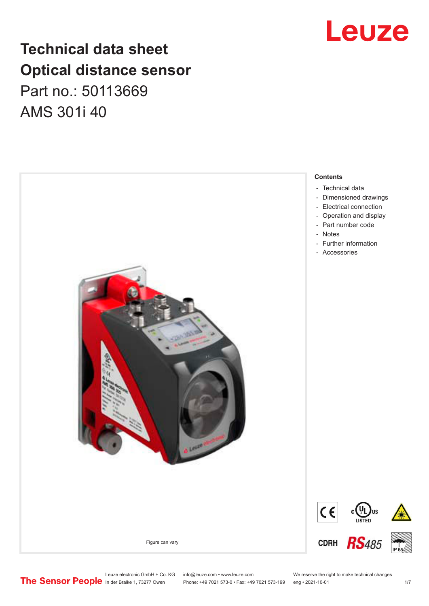# **Technical data sheet Optical distance sensor** Part no.: 50113669 AMS 301i 40





Leuze electronic GmbH + Co. KG info@leuze.com • www.leuze.com We reserve the right to make technical changes<br>
The Sensor People in der Braike 1, 73277 Owen Phone: +49 7021 573-0 • Fax: +49 7021 573-199 eng • 2021-10-01

Phone: +49 7021 573-0 • Fax: +49 7021 573-199 eng • 2021-10-01 1 2021-10-01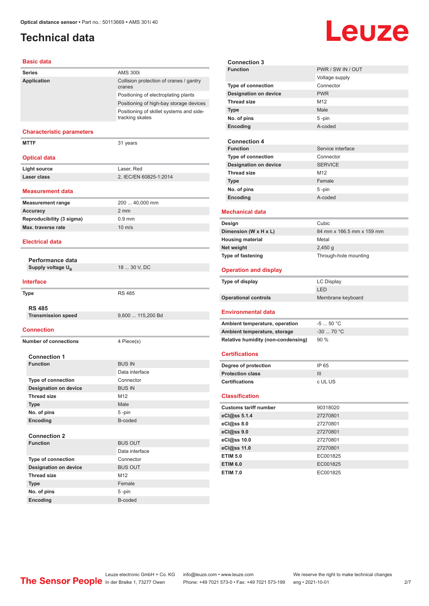# <span id="page-1-0"></span>**Technical data**

# **Leuze**

#### **Basic data**

| <b>Series</b>                          | <b>AMS 300i</b>                                   |
|----------------------------------------|---------------------------------------------------|
| Application                            | Collision protection of cranes / gantry<br>cranes |
|                                        | Positioning of electroplating plants              |
|                                        | Positioning of high-bay storage devices           |
|                                        | Positioning of skillet systems and side-          |
|                                        | tracking skates                                   |
| <b>Characteristic parameters</b>       |                                                   |
| <b>MTTF</b>                            | 31 years                                          |
|                                        |                                                   |
| <b>Optical data</b>                    |                                                   |
| <b>Light source</b>                    | Laser, Red                                        |
| Laser class                            | 2, IEC/EN 60825-1:2014                            |
| Measurement data                       |                                                   |
| <b>Measurement range</b>               | 200  40,000 mm                                    |
| <b>Accuracy</b>                        | $2 \, \text{mm}$                                  |
| Reproducibility (3 sigma)              | $0.9$ mm                                          |
| Max. traverse rate                     | $10 \text{ m/s}$                                  |
| <b>Electrical data</b>                 |                                                   |
| Performance data                       |                                                   |
| Supply voltage U <sub>R</sub>          | 18  30 V, DC                                      |
|                                        |                                                   |
| <b>Interface</b>                       |                                                   |
| <b>Type</b>                            | <b>RS 485</b>                                     |
|                                        |                                                   |
| <b>RS 485</b>                          |                                                   |
| <b>Transmission speed</b>              | 9,600  115,200 Bd                                 |
| <b>Connection</b>                      |                                                   |
| <b>Number of connections</b>           | 4 Piece(s)                                        |
|                                        |                                                   |
| <b>Connection 1</b><br><b>Function</b> | <b>BUS IN</b>                                     |
|                                        | Data interface                                    |
| <b>Type of connection</b>              | Connector                                         |
| <b>Designation on device</b>           | <b>BUS IN</b>                                     |
| <b>Thread size</b>                     | M12                                               |
| <b>Type</b>                            | Male                                              |
| No. of pins                            | 5-pin                                             |
| Encoding                               | B-coded                                           |
|                                        |                                                   |
| <b>Connection 2</b>                    |                                                   |
| <b>Function</b>                        | <b>BUS OUT</b>                                    |
|                                        | Data interface                                    |
| Type of connection                     | Connector                                         |
| <b>Designation on device</b>           | <b>BUS OUT</b>                                    |
| <b>Thread size</b>                     | M12                                               |
| <b>Type</b>                            | Female                                            |
| No. of pins                            | 5-pin<br><b>B-coded</b>                           |
| <b>Encoding</b>                        |                                                   |

|                              | <b>Connection 3</b>                       |                           |
|------------------------------|-------------------------------------------|---------------------------|
|                              | <b>Function</b>                           | PWR / SW IN / OUT         |
|                              |                                           | Voltage supply            |
|                              | Type of connection                        | Connector                 |
|                              | <b>Designation on device</b>              | <b>PWR</b>                |
|                              | <b>Thread size</b>                        | M <sub>12</sub>           |
|                              | <b>Type</b>                               | Male                      |
|                              | No. of pins                               | 5-pin                     |
|                              | Encoding                                  | A-coded                   |
|                              |                                           |                           |
|                              | <b>Connection 4</b>                       |                           |
|                              | <b>Function</b>                           | Service interface         |
|                              | Type of connection                        | Connector                 |
|                              | <b>Designation on device</b>              | <b>SERVICE</b>            |
|                              | <b>Thread size</b>                        | M <sub>12</sub>           |
|                              | <b>Type</b>                               | Female                    |
|                              | No. of pins                               | $5 - pin$                 |
|                              | Encoding                                  | A-coded                   |
|                              | <b>Mechanical data</b>                    |                           |
|                              |                                           |                           |
|                              | Design                                    | Cubic                     |
|                              | Dimension (W x H x L)                     | 84 mm x 166.5 mm x 159 mm |
|                              | <b>Housing material</b>                   | Metal                     |
|                              | Net weight                                | $2,450$ g                 |
| <b>Type of fastening</b>     |                                           | Through-hole mounting     |
| <b>Operation and display</b> |                                           |                           |
|                              |                                           |                           |
|                              | Type of display                           | <b>LC Display</b>         |
|                              |                                           | LED                       |
|                              | <b>Operational controls</b>               | Membrane keyboard         |
|                              |                                           |                           |
|                              | <b>Environmental data</b>                 |                           |
|                              | Ambient temperature, operation            | $-550 °C$                 |
|                              | Ambient temperature, storage              | $-30$ 70 °C               |
|                              | <b>Relative humidity (non-condensing)</b> | 90%                       |
|                              |                                           |                           |
|                              | <b>Certifications</b>                     |                           |
|                              | Degree of protection                      | IP 65                     |
|                              | <b>Protection class</b>                   | Ш                         |
|                              | <b>Certifications</b>                     | c UL US                   |
|                              | <b>Classification</b>                     |                           |
|                              | <b>Customs tariff number</b>              | 90318020                  |
|                              | eCl@ss 5.1.4                              | 27270801                  |
|                              | eCl@ss 8.0                                | 27270801                  |
|                              | eCl@ss 9.0                                | 27270801                  |
|                              | eCl@ss 10.0                               | 27270801                  |
|                              | eCl@ss 11.0                               | 27270801                  |
|                              | <b>ETIM 5.0</b>                           | EC001825                  |
|                              | <b>ETIM 6.0</b>                           | EC001825                  |

In der Braike 1, 73277 Owen Phone: +49 7021 573-0 • Fax: +49 7021 573-199 eng • 2021-10-01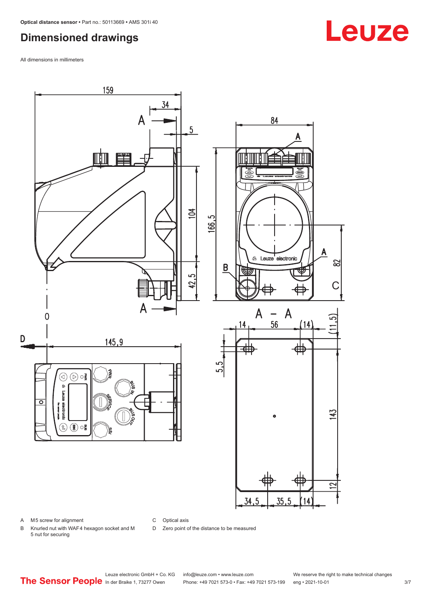# <span id="page-2-0"></span>**Dimensioned drawings**

All dimensions in millimeters



A M5 screw for alignment

C Optical axis

D Zero point of the distance to be measured

B Knurled nut with WAF 4 hexagon socket and M 5 nut for securing

# **Leuze**

Leuze electronic GmbH + Co. KG info@leuze.com • www.leuze.com We reserve the right to make technical changes<br>
The Sensor People in der Braike 1, 73277 Owen Phone: +49 7021 573-0 • Fax: +49 7021 573-199 eng • 2021-10-01

Phone: +49 7021 573-0 • Fax: +49 7021 573-199 eng • 2021-10-01 3/7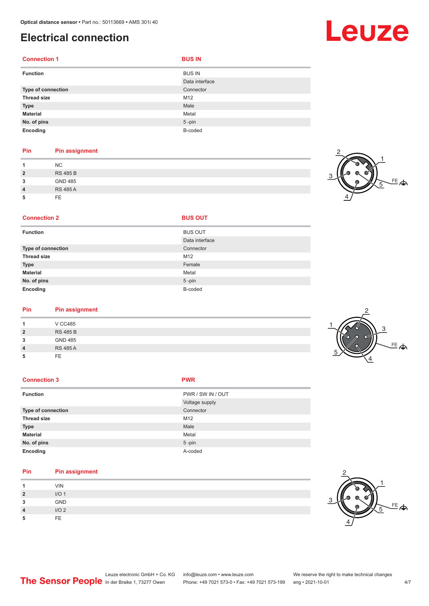# <span id="page-3-0"></span>**Electrical connection**

| <b>Connection 1</b> | <b>BUS IN</b>  |
|---------------------|----------------|
| <b>Function</b>     | <b>BUS IN</b>  |
|                     | Data interface |
| Type of connection  | Connector      |
| <b>Thread size</b>  | M12            |
| <b>Type</b>         | Male           |
| <b>Material</b>     | Metal          |
| No. of pins         | $5 - pin$      |
| Encoding            | B-coded        |

### **Pin Pin assignment**

|   | NC              |
|---|-----------------|
| 2 | <b>RS 485 B</b> |
| 3 | GND 485         |
| 4 | <b>RS 485 A</b> |
|   | FF.             |



#### **Connection 2 BUS OUT**

| <b>Function</b>    | <b>BUS OUT</b> |
|--------------------|----------------|
|                    | Data interface |
| Type of connection | Connector      |
| <b>Thread size</b> | M12            |
| <b>Type</b>        | Female         |
| <b>Material</b>    | Metal          |
| No. of pins        | $5$ -pin       |
| Encoding           | B-coded        |

# **Pin Pin assignment**

| V CC485         |  |
|-----------------|--|
| <b>RS 485 B</b> |  |
| <b>GND 485</b>  |  |
| <b>RS 485 A</b> |  |
| FE              |  |
|                 |  |

#### **Connection 3 PWR**

| <b>Function</b>    | PWR / SW IN / OUT |
|--------------------|-------------------|
|                    | Voltage supply    |
| Type of connection | Connector         |
| <b>Thread size</b> | M12               |
| <b>Type</b>        | Male              |
| <b>Material</b>    | Metal             |
| No. of pins        | $5 - pin$         |
| Encoding           | A-coded           |

## **Pin Pin assignment**

|               | <b>VIN</b>       |
|---------------|------------------|
| <u>?</u><br>- | I/O <sub>1</sub> |
| 3             | GND              |
| 4             | I/O2             |
| 5             | <b>FE</b>        |



# Leuze

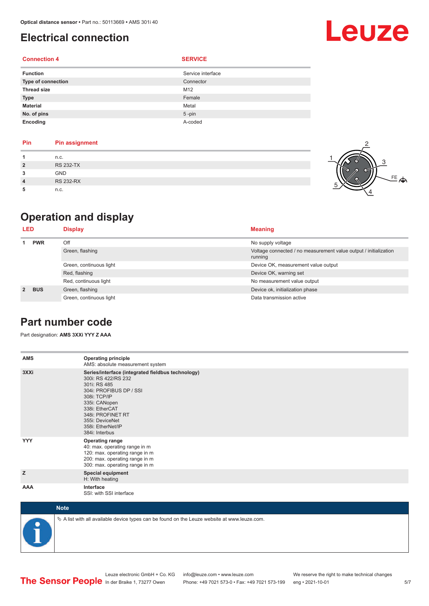# <span id="page-4-0"></span>**Electrical connection**

### **Connection 4 SERVICE**

| <b>Function</b>    | Service interface |
|--------------------|-------------------|
| Type of connection | Connector         |
| <b>Thread size</b> | M12               |
| <b>Type</b>        | Female            |
| <b>Material</b>    | Metal             |
| No. of pins        | $5 - pin$         |
| Encoding           | A-coded           |

| Pin            | <b>Pin assignment</b> |  |
|----------------|-----------------------|--|
| 1              | n.c.                  |  |
| $\overline{2}$ | <b>RS 232-TX</b>      |  |
| 3              | <b>GND</b>            |  |
| $\overline{4}$ | <b>RS 232-RX</b>      |  |
| 5              | n.c.                  |  |



# **Operation and display**

| LED         |            | <b>Display</b>          | <b>Meaning</b>                                                              |
|-------------|------------|-------------------------|-----------------------------------------------------------------------------|
|             | <b>PWR</b> | Off                     | No supply voltage                                                           |
|             |            | Green, flashing         | Voltage connected / no measurement value output / initialization<br>running |
|             |            | Green, continuous light | Device OK, measurement value output                                         |
|             |            | Red, flashing           | Device OK, warning set                                                      |
|             |            | Red, continuous light   | No measurement value output                                                 |
| $2^{\circ}$ | <b>BUS</b> | Green, flashing         | Device ok, initialization phase                                             |
|             |            | Green, continuous light | Data transmission active                                                    |

## **Part number code**

Part designation: **AMS 3XXi YYY Z AAA**

| <b>AMS</b>  | <b>Operating principle</b><br>AMS: absolute measurement system                                                                                                                                                                                        |
|-------------|-------------------------------------------------------------------------------------------------------------------------------------------------------------------------------------------------------------------------------------------------------|
| 3XXi        | Series/interface (integrated fieldbus technology)<br>300i: RS 422/RS 232<br>301i: RS 485<br>304i: PROFIBUS DP / SSI<br>308i: TCP/IP<br>335i: CANopen<br>338i: EtherCAT<br>348i: PROFINET RT<br>355i: DeviceNet<br>358i: EtherNet/IP<br>384i: Interbus |
| <b>YYY</b>  | <b>Operating range</b><br>40: max. operating range in m<br>120: max. operating range in m<br>200: max. operating range in m<br>300: max. operating range in m                                                                                         |
| z           | <b>Special equipment</b><br>H: With heating                                                                                                                                                                                                           |
| <b>AAA</b>  | Interface<br>SSI: with SSI interface                                                                                                                                                                                                                  |
| <b>Note</b> |                                                                                                                                                                                                                                                       |



 $\%$  A list with all available device types can be found on the Leuze website at www.leuze.com.

Leuze

Leuze electronic GmbH + Co. KG info@leuze.com • www.leuze.com We reserve the right to make technical changes<br>
The Sensor People in der Braike 1, 73277 Owen Phone: +49 7021 573-0 • Fax: +49 7021 573-199 eng • 2021-10-01

Phone: +49 7021 573-0 • Fax: +49 7021 573-199 eng • 2021-10-01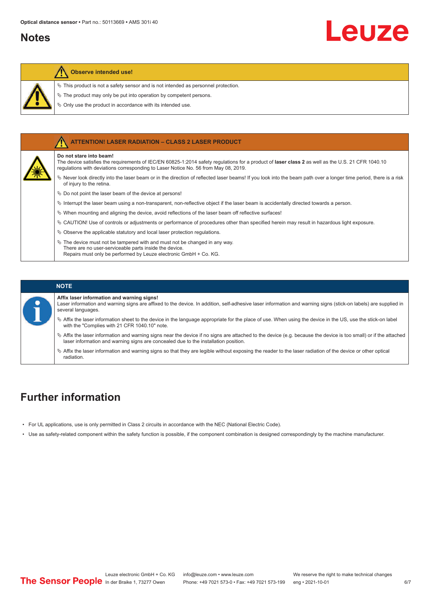## <span id="page-5-0"></span>**Notes**

Leuze



#### **Observe intended use!**

- $\ddot{\phi}$  This product is not a safety sensor and is not intended as personnel protection.
- $\&$  The product may only be put into operation by competent persons.
- $\%$  Only use the product in accordance with its intended use.



#### **NOTE**

**Affix laser information and warning signs!**

Laser information and warning signs are affixed to the device. In addition, self-adhesive laser information and warning signs (stick-on labels) are supplied in several languages.

- ª Affix the laser information sheet to the device in the language appropriate for the place of use. When using the device in the US, use the stick-on label with the "Complies with 21 CFR 1040.10" note.
- ª Affix the laser information and warning signs near the device if no signs are attached to the device (e.g. because the device is too small) or if the attached laser information and warning signs are concealed due to the installation position.
- ª Affix the laser information and warning signs so that they are legible without exposing the reader to the laser radiation of the device or other optical radiation.

# **Further information**

- For UL applications, use is only permitted in Class 2 circuits in accordance with the NEC (National Electric Code).
- Use as safety-related component within the safety function is possible, if the component combination is designed correspondingly by the machine manufacturer.